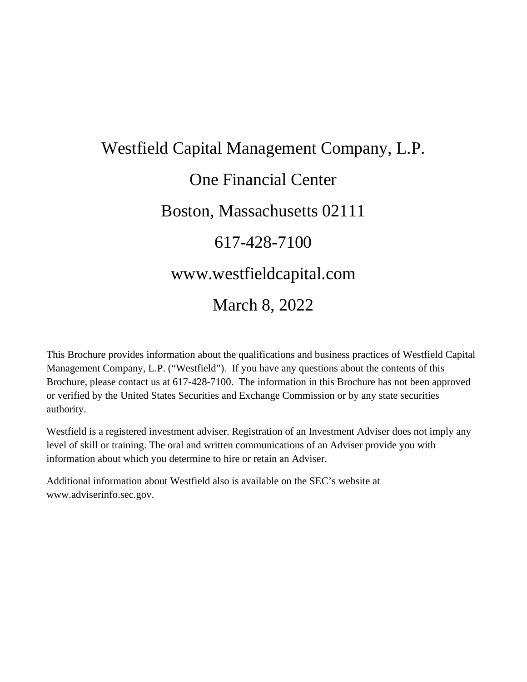# Westfield Capital Management Company, L.P. One Financial Center Boston, Massachusetts 02111 617-428-7100 www.westfieldcapital.com March 8, 2022

This Brochure provides information about the qualifications and business practices of Westfield Capital Management Company, L.P. ("Westfield"). If you have any questions about the contents of this Brochure, please contact us at 617-428-7100. The information in this Brochure has not been approved or verified by the United States Securities and Exchange Commission or by any state securities authority.

Westfield is a registered investment adviser. Registration of an Investment Adviser does not imply any level of skill or training. The oral and written communications of an Adviser provide you with information about which you determine to hire or retain an Adviser.

Additional information about Westfield also is available on the SEC's website at www.adviserinfo.sec.gov.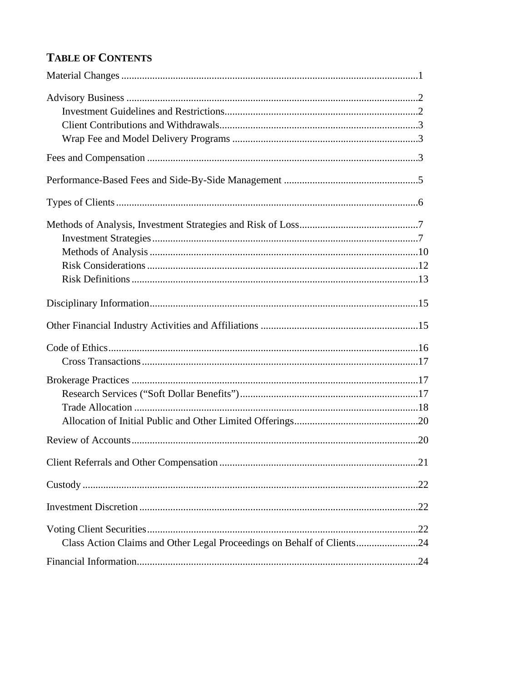# **TABLE OF CONTENTS**

| Class Action Claims and Other Legal Proceedings on Behalf of Clients24 |  |
|------------------------------------------------------------------------|--|
|                                                                        |  |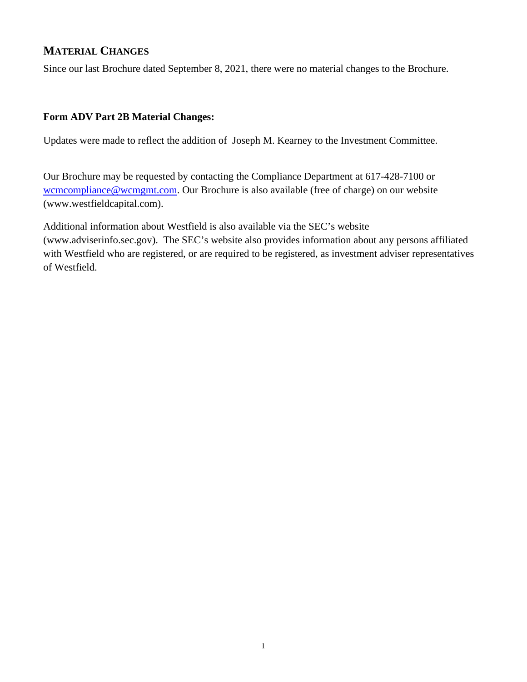## **MATERIAL CHANGES**

Since our last Brochure dated September 8, 2021, there were no material changes to the Brochure.

#### **Form ADV Part 2B Material Changes:**

Updates were made to reflect the addition of Joseph M. Kearney to the Investment Committee.

Our Brochure may be requested by contacting the Compliance Department at 617-428-7100 or [wcmcompliance@wcmgmt.com.](mailto:wcmcompliance@wcmgmt.com) Our Brochure is also available (free of charge) on our website (www.westfieldcapital.com).

Additional information about Westfield is also available via the SEC's website (www.adviserinfo.sec.gov). The SEC's website also provides information about any persons affiliated with Westfield who are registered, or are required to be registered, as investment adviser representatives of Westfield.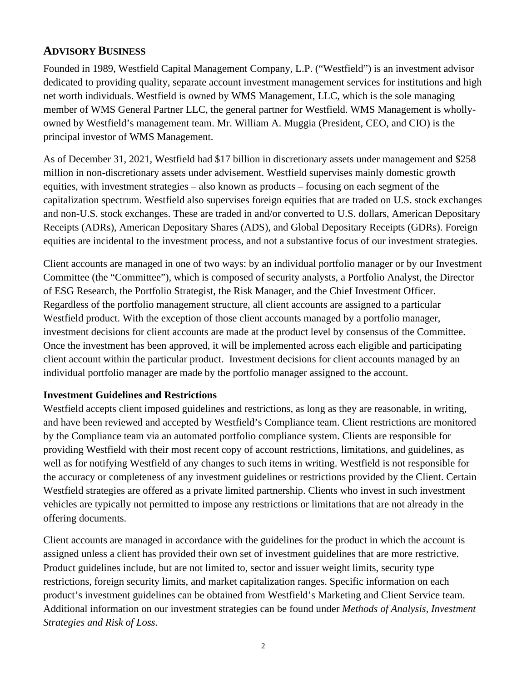## **ADVISORY BUSINESS**

Founded in 1989, Westfield Capital Management Company, L.P. ("Westfield") is an investment advisor dedicated to providing quality, separate account investment management services for institutions and high net worth individuals. Westfield is owned by WMS Management, LLC, which is the sole managing member of WMS General Partner LLC, the general partner for Westfield. WMS Management is whollyowned by Westfield's management team. Mr. William A. Muggia (President, CEO, and CIO) is the principal investor of WMS Management.

As of December 31, 2021, Westfield had \$17 billion in discretionary assets under management and \$258 million in non-discretionary assets under advisement. Westfield supervises mainly domestic growth equities, with investment strategies – also known as products – focusing on each segment of the capitalization spectrum. Westfield also supervises foreign equities that are traded on U.S. stock exchanges and non-U.S. stock exchanges. These are traded in and/or converted to U.S. dollars, American Depositary Receipts (ADRs), American Depositary Shares (ADS), and Global Depositary Receipts (GDRs). Foreign equities are incidental to the investment process, and not a substantive focus of our investment strategies.

Client accounts are managed in one of two ways: by an individual portfolio manager or by our Investment Committee (the "Committee"), which is composed of security analysts, a Portfolio Analyst, the Director of ESG Research, the Portfolio Strategist, the Risk Manager, and the Chief Investment Officer. Regardless of the portfolio management structure, all client accounts are assigned to a particular Westfield product. With the exception of those client accounts managed by a portfolio manager, investment decisions for client accounts are made at the product level by consensus of the Committee. Once the investment has been approved, it will be implemented across each eligible and participating client account within the particular product. Investment decisions for client accounts managed by an individual portfolio manager are made by the portfolio manager assigned to the account.

## **Investment Guidelines and Restrictions**

Westfield accepts client imposed guidelines and restrictions, as long as they are reasonable, in writing, and have been reviewed and accepted by Westfield's Compliance team. Client restrictions are monitored by the Compliance team via an automated portfolio compliance system. Clients are responsible for providing Westfield with their most recent copy of account restrictions, limitations, and guidelines, as well as for notifying Westfield of any changes to such items in writing. Westfield is not responsible for the accuracy or completeness of any investment guidelines or restrictions provided by the Client. Certain Westfield strategies are offered as a private limited partnership. Clients who invest in such investment vehicles are typically not permitted to impose any restrictions or limitations that are not already in the offering documents.

Client accounts are managed in accordance with the guidelines for the product in which the account is assigned unless a client has provided their own set of investment guidelines that are more restrictive. Product guidelines include, but are not limited to, sector and issuer weight limits, security type restrictions, foreign security limits, and market capitalization ranges. Specific information on each product's investment guidelines can be obtained from Westfield's Marketing and Client Service team. Additional information on our investment strategies can be found under *Methods of Analysis, Investment Strategies and Risk of Loss*.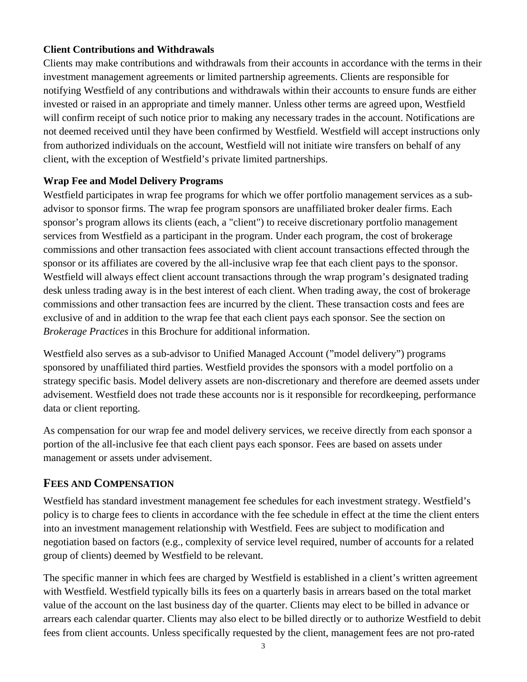#### **Client Contributions and Withdrawals**

Clients may make contributions and withdrawals from their accounts in accordance with the terms in their investment management agreements or limited partnership agreements. Clients are responsible for notifying Westfield of any contributions and withdrawals within their accounts to ensure funds are either invested or raised in an appropriate and timely manner. Unless other terms are agreed upon, Westfield will confirm receipt of such notice prior to making any necessary trades in the account. Notifications are not deemed received until they have been confirmed by Westfield. Westfield will accept instructions only from authorized individuals on the account, Westfield will not initiate wire transfers on behalf of any client, with the exception of Westfield's private limited partnerships.

#### **Wrap Fee and Model Delivery Programs**

Westfield participates in wrap fee programs for which we offer portfolio management services as a subadvisor to sponsor firms. The wrap fee program sponsors are unaffiliated broker dealer firms. Each sponsor's program allows its clients (each, a "client") to receive discretionary portfolio management services from Westfield as a participant in the program. Under each program, the cost of brokerage commissions and other transaction fees associated with client account transactions effected through the sponsor or its affiliates are covered by the all-inclusive wrap fee that each client pays to the sponsor. Westfield will always effect client account transactions through the wrap program's designated trading desk unless trading away is in the best interest of each client. When trading away, the cost of brokerage commissions and other transaction fees are incurred by the client. These transaction costs and fees are exclusive of and in addition to the wrap fee that each client pays each sponsor. See the section on *Brokerage Practices* in this Brochure for additional information.

Westfield also serves as a sub-advisor to Unified Managed Account ("model delivery") programs sponsored by unaffiliated third parties. Westfield provides the sponsors with a model portfolio on a strategy specific basis. Model delivery assets are non-discretionary and therefore are deemed assets under advisement. Westfield does not trade these accounts nor is it responsible for recordkeeping, performance data or client reporting.

As compensation for our wrap fee and model delivery services, we receive directly from each sponsor a portion of the all-inclusive fee that each client pays each sponsor. Fees are based on assets under management or assets under advisement.

## **FEES AND COMPENSATION**

Westfield has standard investment management fee schedules for each investment strategy. Westfield's policy is to charge fees to clients in accordance with the fee schedule in effect at the time the client enters into an investment management relationship with Westfield. Fees are subject to modification and negotiation based on factors (e.g., complexity of service level required, number of accounts for a related group of clients) deemed by Westfield to be relevant.

The specific manner in which fees are charged by Westfield is established in a client's written agreement with Westfield. Westfield typically bills its fees on a quarterly basis in arrears based on the total market value of the account on the last business day of the quarter. Clients may elect to be billed in advance or arrears each calendar quarter. Clients may also elect to be billed directly or to authorize Westfield to debit fees from client accounts. Unless specifically requested by the client, management fees are not pro-rated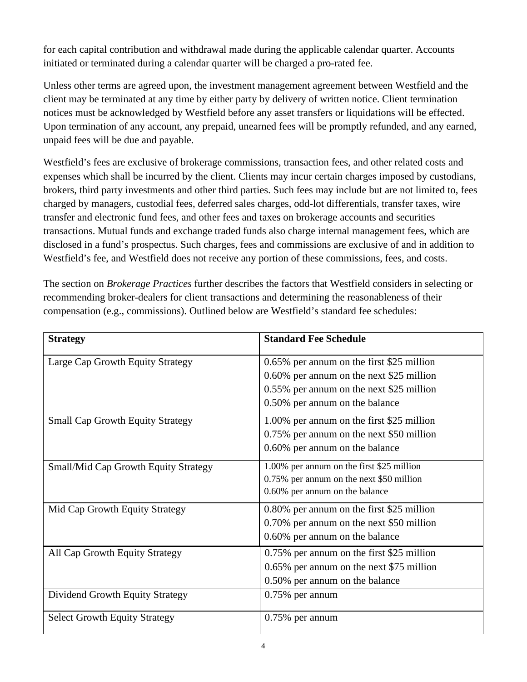for each capital contribution and withdrawal made during the applicable calendar quarter. Accounts initiated or terminated during a calendar quarter will be charged a pro-rated fee.

Unless other terms are agreed upon, the investment management agreement between Westfield and the client may be terminated at any time by either party by delivery of written notice. Client termination notices must be acknowledged by Westfield before any asset transfers or liquidations will be effected. Upon termination of any account, any prepaid, unearned fees will be promptly refunded, and any earned, unpaid fees will be due and payable.

Westfield's fees are exclusive of brokerage commissions, transaction fees, and other related costs and expenses which shall be incurred by the client. Clients may incur certain charges imposed by custodians, brokers, third party investments and other third parties. Such fees may include but are not limited to, fees charged by managers, custodial fees, deferred sales charges, odd-lot differentials, transfer taxes, wire transfer and electronic fund fees, and other fees and taxes on brokerage accounts and securities transactions. Mutual funds and exchange traded funds also charge internal management fees, which are disclosed in a fund's prospectus. Such charges, fees and commissions are exclusive of and in addition to Westfield's fee, and Westfield does not receive any portion of these commissions, fees, and costs.

The section on *Brokerage Practices* further describes the factors that Westfield considers in selecting or recommending broker-dealers for client transactions and determining the reasonableness of their compensation (e.g., commissions). Outlined below are Westfield's standard fee schedules:

| <b>Strategy</b>                             | <b>Standard Fee Schedule</b>              |
|---------------------------------------------|-------------------------------------------|
| Large Cap Growth Equity Strategy            | 0.65% per annum on the first \$25 million |
|                                             | 0.60% per annum on the next \$25 million  |
|                                             | 0.55% per annum on the next \$25 million  |
|                                             | 0.50% per annum on the balance            |
| <b>Small Cap Growth Equity Strategy</b>     | 1.00% per annum on the first \$25 million |
|                                             | 0.75% per annum on the next \$50 million  |
|                                             | 0.60% per annum on the balance            |
| <b>Small/Mid Cap Growth Equity Strategy</b> | 1.00% per annum on the first \$25 million |
|                                             | 0.75% per annum on the next \$50 million  |
|                                             | 0.60% per annum on the balance            |
| Mid Cap Growth Equity Strategy              | 0.80% per annum on the first \$25 million |
|                                             | 0.70% per annum on the next \$50 million  |
|                                             | 0.60% per annum on the balance            |
| All Cap Growth Equity Strategy              | 0.75% per annum on the first \$25 million |
|                                             | 0.65% per annum on the next \$75 million  |
|                                             | 0.50% per annum on the balance            |
| Dividend Growth Equity Strategy             | $0.75\%$ per annum                        |
| <b>Select Growth Equity Strategy</b>        | $0.75\%$ per annum                        |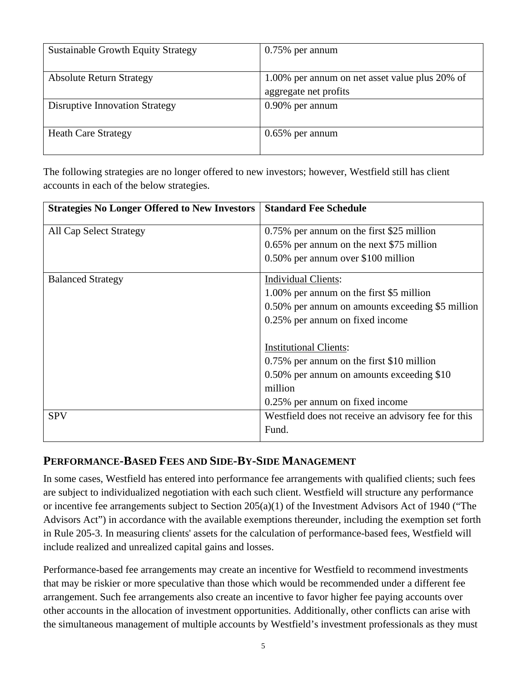| <b>Sustainable Growth Equity Strategy</b> | $0.75\%$ per annum                                                      |
|-------------------------------------------|-------------------------------------------------------------------------|
| <b>Absolute Return Strategy</b>           | 1.00% per annum on net asset value plus 20% of<br>aggregate net profits |
| <b>Disruptive Innovation Strategy</b>     | $0.90\%$ per annum                                                      |
| <b>Heath Care Strategy</b>                | $0.65\%$ per annum                                                      |

The following strategies are no longer offered to new investors; however, Westfield still has client accounts in each of the below strategies.

| <b>Strategies No Longer Offered to New Investors</b> | <b>Standard Fee Schedule</b>                        |
|------------------------------------------------------|-----------------------------------------------------|
| <b>All Cap Select Strategy</b>                       | 0.75% per annum on the first \$25 million           |
|                                                      | 0.65% per annum on the next \$75 million            |
|                                                      | 0.50% per annum over \$100 million                  |
| <b>Balanced Strategy</b>                             | <b>Individual Clients:</b>                          |
|                                                      | 1.00% per annum on the first \$5 million            |
|                                                      | 0.50% per annum on amounts exceeding \$5 million    |
|                                                      | 0.25% per annum on fixed income                     |
|                                                      |                                                     |
|                                                      | <b>Institutional Clients:</b>                       |
|                                                      | 0.75% per annum on the first \$10 million           |
|                                                      | 0.50% per annum on amounts exceeding \$10           |
|                                                      | million                                             |
|                                                      | 0.25% per annum on fixed income                     |
| <b>SPV</b>                                           | Westfield does not receive an advisory fee for this |
|                                                      | Fund.                                               |

## **PERFORMANCE-BASED FEES AND SIDE-BY-SIDE MANAGEMENT**

In some cases, Westfield has entered into performance fee arrangements with qualified clients; such fees are subject to individualized negotiation with each such client. Westfield will structure any performance or incentive fee arrangements subject to Section 205(a)(1) of the Investment Advisors Act of 1940 ("The Advisors Act") in accordance with the available exemptions thereunder, including the exemption set forth in Rule 205-3. In measuring clients' assets for the calculation of performance-based fees, Westfield will include realized and unrealized capital gains and losses.

Performance-based fee arrangements may create an incentive for Westfield to recommend investments that may be riskier or more speculative than those which would be recommended under a different fee arrangement. Such fee arrangements also create an incentive to favor higher fee paying accounts over other accounts in the allocation of investment opportunities. Additionally, other conflicts can arise with the simultaneous management of multiple accounts by Westfield's investment professionals as they must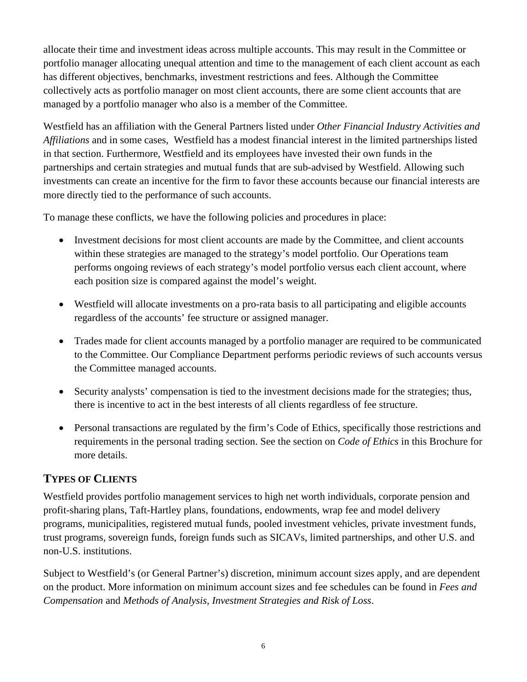allocate their time and investment ideas across multiple accounts. This may result in the Committee or portfolio manager allocating unequal attention and time to the management of each client account as each has different objectives, benchmarks, investment restrictions and fees. Although the Committee collectively acts as portfolio manager on most client accounts, there are some client accounts that are managed by a portfolio manager who also is a member of the Committee.

Westfield has an affiliation with the General Partners listed under *Other Financial Industry Activities and Affiliations* and in some cases, Westfield has a modest financial interest in the limited partnerships listed in that section. Furthermore, Westfield and its employees have invested their own funds in the partnerships and certain strategies and mutual funds that are sub-advised by Westfield. Allowing such investments can create an incentive for the firm to favor these accounts because our financial interests are more directly tied to the performance of such accounts.

To manage these conflicts, we have the following policies and procedures in place:

- Investment decisions for most client accounts are made by the Committee, and client accounts within these strategies are managed to the strategy's model portfolio. Our Operations team performs ongoing reviews of each strategy's model portfolio versus each client account, where each position size is compared against the model's weight.
- Westfield will allocate investments on a pro-rata basis to all participating and eligible accounts regardless of the accounts' fee structure or assigned manager.
- Trades made for client accounts managed by a portfolio manager are required to be communicated to the Committee. Our Compliance Department performs periodic reviews of such accounts versus the Committee managed accounts.
- Security analysts' compensation is tied to the investment decisions made for the strategies; thus, there is incentive to act in the best interests of all clients regardless of fee structure.
- Personal transactions are regulated by the firm's Code of Ethics, specifically those restrictions and requirements in the personal trading section. See the section on *Code of Ethics* in this Brochure for more details.

# **TYPES OF CLIENTS**

Westfield provides portfolio management services to high net worth individuals, corporate pension and profit-sharing plans, Taft-Hartley plans, foundations, endowments, wrap fee and model delivery programs, municipalities, registered mutual funds, pooled investment vehicles, private investment funds, trust programs, sovereign funds, foreign funds such as SICAVs, limited partnerships, and other U.S. and non-U.S. institutions.

Subject to Westfield's (or General Partner's) discretion, minimum account sizes apply, and are dependent on the product. More information on minimum account sizes and fee schedules can be found in *Fees and Compensation* and *Methods of Analysis, Investment Strategies and Risk of Loss*.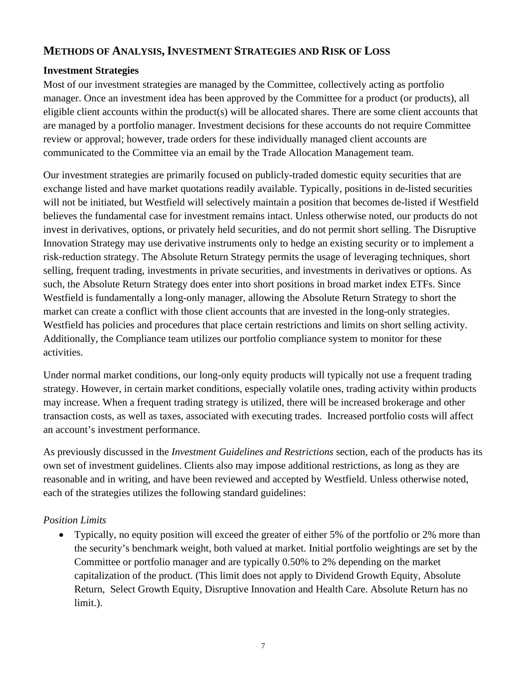## **METHODS OF ANALYSIS,INVESTMENT STRATEGIES AND RISK OF LOSS**

#### **Investment Strategies**

Most of our investment strategies are managed by the Committee, collectively acting as portfolio manager. Once an investment idea has been approved by the Committee for a product (or products), all eligible client accounts within the product(s) will be allocated shares. There are some client accounts that are managed by a portfolio manager. Investment decisions for these accounts do not require Committee review or approval; however, trade orders for these individually managed client accounts are communicated to the Committee via an email by the Trade Allocation Management team.

Our investment strategies are primarily focused on publicly-traded domestic equity securities that are exchange listed and have market quotations readily available. Typically, positions in de-listed securities will not be initiated, but Westfield will selectively maintain a position that becomes de-listed if Westfield believes the fundamental case for investment remains intact. Unless otherwise noted, our products do not invest in derivatives, options, or privately held securities, and do not permit short selling. The Disruptive Innovation Strategy may use derivative instruments only to hedge an existing security or to implement a risk-reduction strategy. The Absolute Return Strategy permits the usage of leveraging techniques, short selling, frequent trading, investments in private securities, and investments in derivatives or options. As such, the Absolute Return Strategy does enter into short positions in broad market index ETFs. Since Westfield is fundamentally a long-only manager, allowing the Absolute Return Strategy to short the market can create a conflict with those client accounts that are invested in the long-only strategies. Westfield has policies and procedures that place certain restrictions and limits on short selling activity. Additionally, the Compliance team utilizes our portfolio compliance system to monitor for these activities.

Under normal market conditions, our long-only equity products will typically not use a frequent trading strategy. However, in certain market conditions, especially volatile ones, trading activity within products may increase. When a frequent trading strategy is utilized, there will be increased brokerage and other transaction costs, as well as taxes, associated with executing trades. Increased portfolio costs will affect an account's investment performance.

As previously discussed in the *Investment Guidelines and Restrictions* section, each of the products has its own set of investment guidelines. Clients also may impose additional restrictions, as long as they are reasonable and in writing, and have been reviewed and accepted by Westfield. Unless otherwise noted, each of the strategies utilizes the following standard guidelines:

#### *Position Limits*

• Typically, no equity position will exceed the greater of either 5% of the portfolio or 2% more than the security's benchmark weight, both valued at market. Initial portfolio weightings are set by the Committee or portfolio manager and are typically 0.50% to 2% depending on the market capitalization of the product. (This limit does not apply to Dividend Growth Equity, Absolute Return, Select Growth Equity, Disruptive Innovation and Health Care. Absolute Return has no limit.).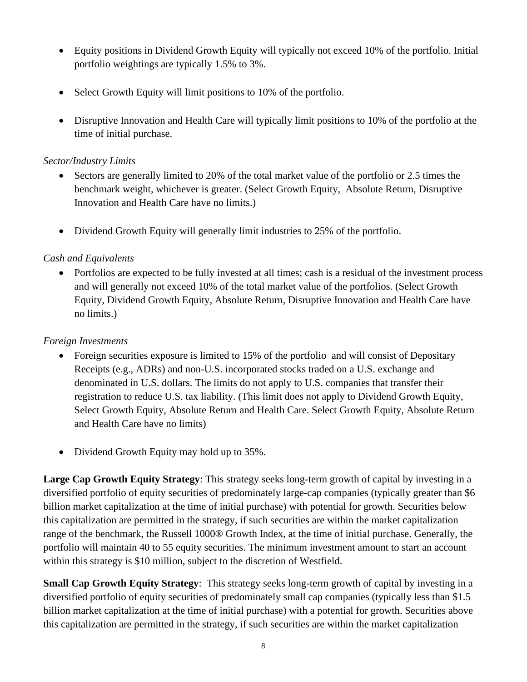- Equity positions in Dividend Growth Equity will typically not exceed 10% of the portfolio. Initial portfolio weightings are typically 1.5% to 3%.
- Select Growth Equity will limit positions to 10% of the portfolio.
- Disruptive Innovation and Health Care will typically limit positions to 10% of the portfolio at the time of initial purchase.

#### *Sector/Industry Limits*

- Sectors are generally limited to 20% of the total market value of the portfolio or 2.5 times the benchmark weight, whichever is greater. (Select Growth Equity, Absolute Return, Disruptive Innovation and Health Care have no limits.)
- Dividend Growth Equity will generally limit industries to 25% of the portfolio.

## *Cash and Equivalents*

• Portfolios are expected to be fully invested at all times; cash is a residual of the investment process and will generally not exceed 10% of the total market value of the portfolios. (Select Growth Equity, Dividend Growth Equity, Absolute Return, Disruptive Innovation and Health Care have no limits.)

#### *Foreign Investments*

- Foreign securities exposure is limited to 15% of the portfolio and will consist of Depositary Receipts (e.g., ADRs) and non-U.S. incorporated stocks traded on a U.S. exchange and denominated in U.S. dollars. The limits do not apply to U.S. companies that transfer their registration to reduce U.S. tax liability. (This limit does not apply to Dividend Growth Equity, Select Growth Equity, Absolute Return and Health Care. Select Growth Equity, Absolute Return and Health Care have no limits)
- Dividend Growth Equity may hold up to 35%.

**Large Cap Growth Equity Strategy**: This strategy seeks long-term growth of capital by investing in a diversified portfolio of equity securities of predominately large-cap companies (typically greater than \$6 billion market capitalization at the time of initial purchase) with potential for growth. Securities below this capitalization are permitted in the strategy, if such securities are within the market capitalization range of the benchmark, the Russell 1000® Growth Index, at the time of initial purchase. Generally, the portfolio will maintain 40 to 55 equity securities. The minimum investment amount to start an account within this strategy is \$10 million, subject to the discretion of Westfield.

**Small Cap Growth Equity Strategy**: This strategy seeks long-term growth of capital by investing in a diversified portfolio of equity securities of predominately small cap companies (typically less than \$1.5 billion market capitalization at the time of initial purchase) with a potential for growth. Securities above this capitalization are permitted in the strategy, if such securities are within the market capitalization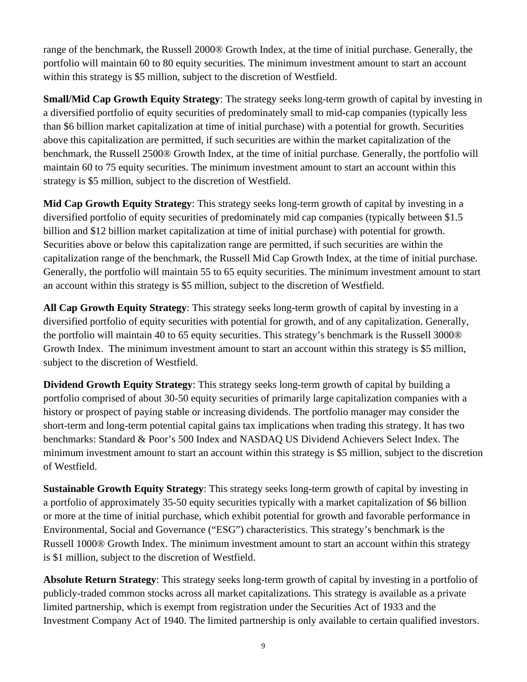range of the benchmark, the Russell 2000® Growth Index, at the time of initial purchase. Generally, the portfolio will maintain 60 to 80 equity securities. The minimum investment amount to start an account within this strategy is \$5 million, subject to the discretion of Westfield.

**Small/Mid Cap Growth Equity Strategy**: The strategy seeks long-term growth of capital by investing in a diversified portfolio of equity securities of predominately small to mid-cap companies (typically less than \$6 billion market capitalization at time of initial purchase) with a potential for growth. Securities above this capitalization are permitted, if such securities are within the market capitalization of the benchmark, the Russell 2500® Growth Index, at the time of initial purchase. Generally, the portfolio will maintain 60 to 75 equity securities. The minimum investment amount to start an account within this strategy is \$5 million, subject to the discretion of Westfield.

**Mid Cap Growth Equity Strategy**: This strategy seeks long-term growth of capital by investing in a diversified portfolio of equity securities of predominately mid cap companies (typically between \$1.5 billion and \$12 billion market capitalization at time of initial purchase) with potential for growth. Securities above or below this capitalization range are permitted, if such securities are within the capitalization range of the benchmark, the Russell Mid Cap Growth Index, at the time of initial purchase. Generally, the portfolio will maintain 55 to 65 equity securities. The minimum investment amount to start an account within this strategy is \$5 million, subject to the discretion of Westfield.

**All Cap Growth Equity Strategy**: This strategy seeks long-term growth of capital by investing in a diversified portfolio of equity securities with potential for growth, and of any capitalization. Generally, the portfolio will maintain 40 to 65 equity securities. This strategy's benchmark is the Russell 3000® Growth Index. The minimum investment amount to start an account within this strategy is \$5 million, subject to the discretion of Westfield.

**Dividend Growth Equity Strategy**: This strategy seeks long-term growth of capital by building a portfolio comprised of about 30-50 equity securities of primarily large capitalization companies with a history or prospect of paying stable or increasing dividends. The portfolio manager may consider the short-term and long-term potential capital gains tax implications when trading this strategy. It has two benchmarks: Standard & Poor's 500 Index and NASDAQ US Dividend Achievers Select Index. The minimum investment amount to start an account within this strategy is \$5 million, subject to the discretion of Westfield.

**Sustainable Growth Equity Strategy**: This strategy seeks long-term growth of capital by investing in a portfolio of approximately 35-50 equity securities typically with a market capitalization of \$6 billion or more at the time of initial purchase, which exhibit potential for growth and favorable performance in Environmental, Social and Governance ("ESG") characteristics. This strategy's benchmark is the Russell 1000® Growth Index. The minimum investment amount to start an account within this strategy is \$1 million, subject to the discretion of Westfield.

**Absolute Return Strategy**: This strategy seeks long-term growth of capital by investing in a portfolio of publicly-traded common stocks across all market capitalizations. This strategy is available as a private limited partnership, which is exempt from registration under the Securities Act of 1933 and the Investment Company Act of 1940. The limited partnership is only available to certain qualified investors.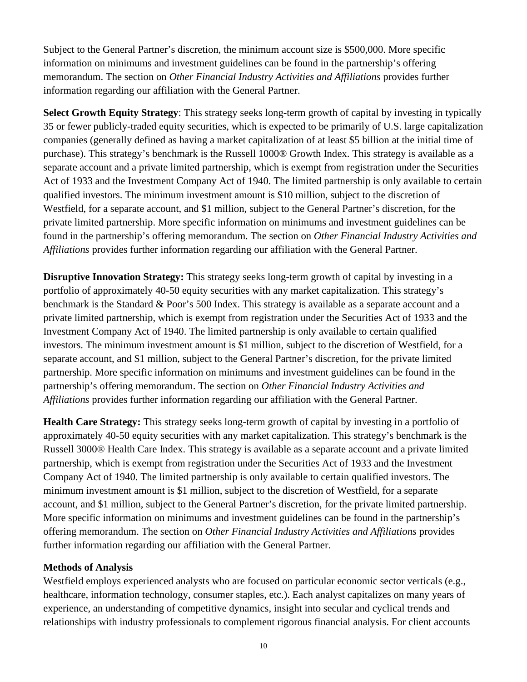Subject to the General Partner's discretion, the minimum account size is \$500,000. More specific information on minimums and investment guidelines can be found in the partnership's offering memorandum. The section on *Other Financial Industry Activities and Affiliations* provides further information regarding our affiliation with the General Partner.

**Select Growth Equity Strategy**: This strategy seeks long-term growth of capital by investing in typically 35 or fewer publicly-traded equity securities, which is expected to be primarily of U.S. large capitalization companies (generally defined as having a market capitalization of at least \$5 billion at the initial time of purchase). This strategy's benchmark is the Russell 1000® Growth Index. This strategy is available as a separate account and a private limited partnership, which is exempt from registration under the Securities Act of 1933 and the Investment Company Act of 1940. The limited partnership is only available to certain qualified investors. The minimum investment amount is \$10 million, subject to the discretion of Westfield, for a separate account, and \$1 million, subject to the General Partner's discretion, for the private limited partnership. More specific information on minimums and investment guidelines can be found in the partnership's offering memorandum. The section on *Other Financial Industry Activities and Affiliations* provides further information regarding our affiliation with the General Partner.

**Disruptive Innovation Strategy:** This strategy seeks long-term growth of capital by investing in a portfolio of approximately 40-50 equity securities with any market capitalization. This strategy's benchmark is the Standard & Poor's 500 Index. This strategy is available as a separate account and a private limited partnership, which is exempt from registration under the Securities Act of 1933 and the Investment Company Act of 1940. The limited partnership is only available to certain qualified investors. The minimum investment amount is \$1 million, subject to the discretion of Westfield, for a separate account, and \$1 million, subject to the General Partner's discretion, for the private limited partnership. More specific information on minimums and investment guidelines can be found in the partnership's offering memorandum. The section on *Other Financial Industry Activities and Affiliations* provides further information regarding our affiliation with the General Partner.

**Health Care Strategy:** This strategy seeks long-term growth of capital by investing in a portfolio of approximately 40-50 equity securities with any market capitalization. This strategy's benchmark is the Russell 3000® Health Care Index. This strategy is available as a separate account and a private limited partnership, which is exempt from registration under the Securities Act of 1933 and the Investment Company Act of 1940. The limited partnership is only available to certain qualified investors. The minimum investment amount is \$1 million, subject to the discretion of Westfield, for a separate account, and \$1 million, subject to the General Partner's discretion, for the private limited partnership. More specific information on minimums and investment guidelines can be found in the partnership's offering memorandum. The section on *Other Financial Industry Activities and Affiliations* provides further information regarding our affiliation with the General Partner.

#### **Methods of Analysis**

Westfield employs experienced analysts who are focused on particular economic sector verticals (e.g., healthcare, information technology, consumer staples, etc.). Each analyst capitalizes on many years of experience, an understanding of competitive dynamics, insight into secular and cyclical trends and relationships with industry professionals to complement rigorous financial analysis. For client accounts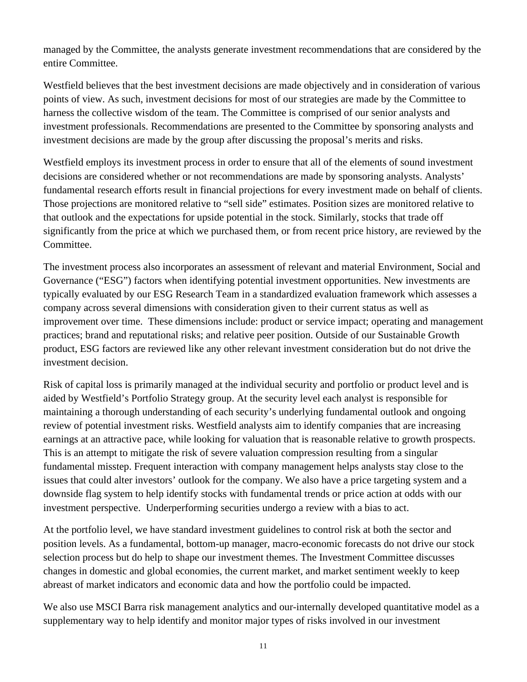managed by the Committee, the analysts generate investment recommendations that are considered by the entire Committee.

Westfield believes that the best investment decisions are made objectively and in consideration of various points of view. As such, investment decisions for most of our strategies are made by the Committee to harness the collective wisdom of the team. The Committee is comprised of our senior analysts and investment professionals. Recommendations are presented to the Committee by sponsoring analysts and investment decisions are made by the group after discussing the proposal's merits and risks.

Westfield employs its investment process in order to ensure that all of the elements of sound investment decisions are considered whether or not recommendations are made by sponsoring analysts. Analysts' fundamental research efforts result in financial projections for every investment made on behalf of clients. Those projections are monitored relative to "sell side" estimates. Position sizes are monitored relative to that outlook and the expectations for upside potential in the stock. Similarly, stocks that trade off significantly from the price at which we purchased them, or from recent price history, are reviewed by the Committee.

The investment process also incorporates an assessment of relevant and material Environment, Social and Governance ("ESG") factors when identifying potential investment opportunities. New investments are typically evaluated by our ESG Research Team in a standardized evaluation framework which assesses a company across several dimensions with consideration given to their current status as well as improvement over time. These dimensions include: product or service impact; operating and management practices; brand and reputational risks; and relative peer position. Outside of our Sustainable Growth product, ESG factors are reviewed like any other relevant investment consideration but do not drive the investment decision.

Risk of capital loss is primarily managed at the individual security and portfolio or product level and is aided by Westfield's Portfolio Strategy group. At the security level each analyst is responsible for maintaining a thorough understanding of each security's underlying fundamental outlook and ongoing review of potential investment risks. Westfield analysts aim to identify companies that are increasing earnings at an attractive pace, while looking for valuation that is reasonable relative to growth prospects. This is an attempt to mitigate the risk of severe valuation compression resulting from a singular fundamental misstep. Frequent interaction with company management helps analysts stay close to the issues that could alter investors' outlook for the company. We also have a price targeting system and a downside flag system to help identify stocks with fundamental trends or price action at odds with our investment perspective. Underperforming securities undergo a review with a bias to act.

At the portfolio level, we have standard investment guidelines to control risk at both the sector and position levels. As a fundamental, bottom-up manager, macro-economic forecasts do not drive our stock selection process but do help to shape our investment themes. The Investment Committee discusses changes in domestic and global economies, the current market, and market sentiment weekly to keep abreast of market indicators and economic data and how the portfolio could be impacted.

We also use MSCI Barra risk management analytics and our-internally developed quantitative model as a supplementary way to help identify and monitor major types of risks involved in our investment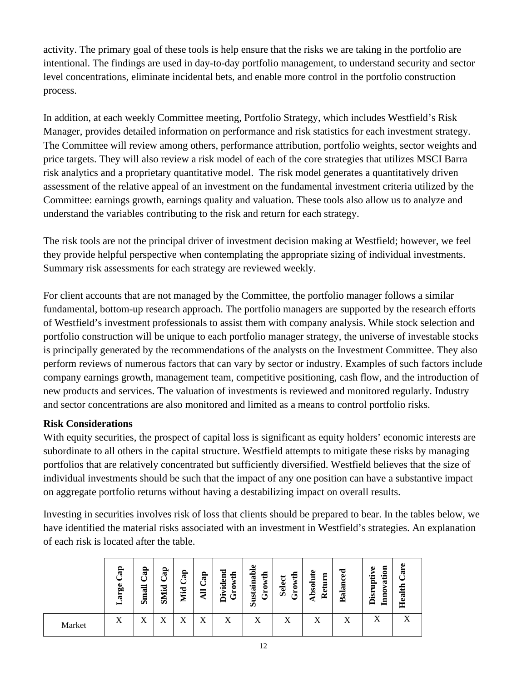activity. The primary goal of these tools is help ensure that the risks we are taking in the portfolio are intentional. The findings are used in day-to-day portfolio management, to understand security and sector level concentrations, eliminate incidental bets, and enable more control in the portfolio construction process.

In addition, at each weekly Committee meeting, Portfolio Strategy, which includes Westfield's Risk Manager, provides detailed information on performance and risk statistics for each investment strategy. The Committee will review among others, performance attribution, portfolio weights, sector weights and price targets. They will also review a risk model of each of the core strategies that utilizes MSCI Barra risk analytics and a proprietary quantitative model. The risk model generates a quantitatively driven assessment of the relative appeal of an investment on the fundamental investment criteria utilized by the Committee: earnings growth, earnings quality and valuation. These tools also allow us to analyze and understand the variables contributing to the risk and return for each strategy.

The risk tools are not the principal driver of investment decision making at Westfield; however, we feel they provide helpful perspective when contemplating the appropriate sizing of individual investments. Summary risk assessments for each strategy are reviewed weekly.

For client accounts that are not managed by the Committee, the portfolio manager follows a similar fundamental, bottom-up research approach. The portfolio managers are supported by the research efforts of Westfield's investment professionals to assist them with company analysis. While stock selection and portfolio construction will be unique to each portfolio manager strategy, the universe of investable stocks is principally generated by the recommendations of the analysts on the Investment Committee. They also perform reviews of numerous factors that can vary by sector or industry. Examples of such factors include company earnings growth, management team, competitive positioning, cash flow, and the introduction of new products and services. The valuation of investments is reviewed and monitored regularly. Industry and sector concentrations are also monitored and limited as a means to control portfolio risks.

## **Risk Considerations**

With equity securities, the prospect of capital loss is significant as equity holders' economic interests are subordinate to all others in the capital structure. Westfield attempts to mitigate these risks by managing portfolios that are relatively concentrated but sufficiently diversified. Westfield believes that the size of individual investments should be such that the impact of any one position can have a substantive impact on aggregate portfolio returns without having a destabilizing impact on overall results.

Investing in securities involves risk of loss that clients should be prepared to bear. In the tables below, we have identified the material risks associated with an investment in Westfield's strategies. An explanation of each risk is located after the table.

|        | $\mathbf{a}$<br>ge<br>ä<br>⊨ | ap<br>-<br>급<br>Ë | g<br><b>fid</b><br>ි | g<br>Mid | $\mathbf{a}$ | ರ<br>wth<br>Ē<br>ಕ<br>Ò<br>⊶<br>H<br>פי<br>气 | ω<br>ustainabl<br>wth<br>ن<br>ئ<br>Ď | ∓<br>Select<br>₹<br>ە<br>تار | Absolute<br>Return | Balanced | tion<br>uptive<br>$\mathbf{a}$<br>Inno<br>Disr | ω<br>$\vec{E}$<br>Health |
|--------|------------------------------|-------------------|----------------------|----------|--------------|----------------------------------------------|--------------------------------------|------------------------------|--------------------|----------|------------------------------------------------|--------------------------|
| Market | Χ                            | $\mathbf{v}$<br>Δ | v<br>Δ               | Δ        | v<br>Λ       | X                                            | X                                    | X                            | X                  | X        | л                                              | A                        |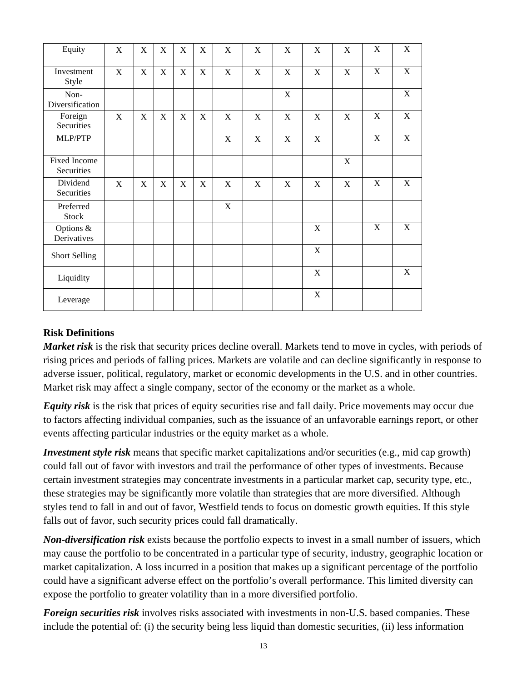| Equity                     | X            | $\mathbf X$ | X           | X           | X           | X           | X | X | $\boldsymbol{\mathrm{X}}$ | X           | X           | X |
|----------------------------|--------------|-------------|-------------|-------------|-------------|-------------|---|---|---------------------------|-------------|-------------|---|
| Investment<br>Style        | $\mathbf{X}$ | $\mathbf X$ | $\mathbf X$ | X           | X           | X           | X | X | $\mathbf X$               | X           | X           | X |
| Non-<br>Diversification    |              |             |             |             |             |             |   | X |                           |             |             | X |
| Foreign<br>Securities      | X            | X           | $\mathbf X$ | $\mathbf X$ | X           | X           | X | X | $\mathbf X$               | $\mathbf X$ | $\mathbf X$ | X |
| MLP/PTP                    |              |             |             |             |             | $\mathbf X$ | X | X | X                         |             | X           | X |
| Fixed Income<br>Securities |              |             |             |             |             |             |   |   |                           | $\mathbf X$ |             |   |
| Dividend<br>Securities     | X            | X           | $\mathbf X$ | $\mathbf X$ | $\mathbf X$ | $\mathbf X$ | X | X | X                         | $\mathbf X$ | X           | X |
| Preferred<br><b>Stock</b>  |              |             |             |             |             | X           |   |   |                           |             |             |   |
| Options &<br>Derivatives   |              |             |             |             |             |             |   |   | X                         |             | X           | X |
| <b>Short Selling</b>       |              |             |             |             |             |             |   |   | $\mathbf X$               |             |             |   |
| Liquidity                  |              |             |             |             |             |             |   |   | $\mathbf X$               |             |             | X |
| Leverage                   |              |             |             |             |             |             |   |   | X                         |             |             |   |

#### **Risk Definitions**

*Market risk* is the risk that security prices decline overall. Markets tend to move in cycles, with periods of rising prices and periods of falling prices. Markets are volatile and can decline significantly in response to adverse issuer, political, regulatory, market or economic developments in the U.S. and in other countries. Market risk may affect a single company, sector of the economy or the market as a whole.

*Equity risk* is the risk that prices of equity securities rise and fall daily. Price movements may occur due to factors affecting individual companies, such as the issuance of an unfavorable earnings report, or other events affecting particular industries or the equity market as a whole.

*Investment style risk* means that specific market capitalizations and/or securities (e.g., mid cap growth) could fall out of favor with investors and trail the performance of other types of investments. Because certain investment strategies may concentrate investments in a particular market cap, security type, etc., these strategies may be significantly more volatile than strategies that are more diversified. Although styles tend to fall in and out of favor, Westfield tends to focus on domestic growth equities. If this style falls out of favor, such security prices could fall dramatically.

*Non-diversification risk* exists because the portfolio expects to invest in a small number of issuers, which may cause the portfolio to be concentrated in a particular type of security, industry, geographic location or market capitalization. A loss incurred in a position that makes up a significant percentage of the portfolio could have a significant adverse effect on the portfolio's overall performance. This limited diversity can expose the portfolio to greater volatility than in a more diversified portfolio.

*Foreign securities risk* involves risks associated with investments in non-U.S. based companies. These include the potential of: (i) the security being less liquid than domestic securities, (ii) less information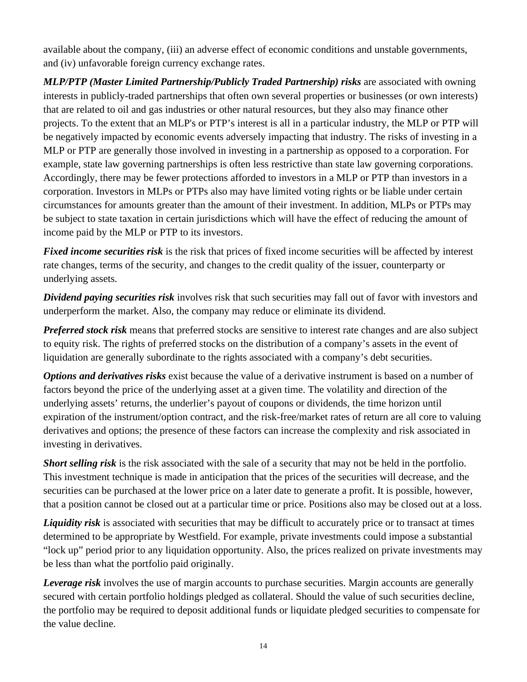available about the company, (iii) an adverse effect of economic conditions and unstable governments, and (iv) unfavorable foreign currency exchange rates.

*MLP/PTP (Master Limited Partnership/Publicly Traded Partnership) risks are associated with owning* interests in publicly-traded partnerships that often own several properties or businesses (or own interests) that are related to oil and gas industries or other natural resources, but they also may finance other projects. To the extent that an MLP's or PTP's interest is all in a particular industry, the MLP or PTP will be negatively impacted by economic events adversely impacting that industry. The risks of investing in a MLP or PTP are generally those involved in investing in a partnership as opposed to a corporation. For example, state law governing partnerships is often less restrictive than state law governing corporations. Accordingly, there may be fewer protections afforded to investors in a MLP or PTP than investors in a corporation. Investors in MLPs or PTPs also may have limited voting rights or be liable under certain circumstances for amounts greater than the amount of their investment. In addition, MLPs or PTPs may be subject to state taxation in certain jurisdictions which will have the effect of reducing the amount of income paid by the MLP or PTP to its investors.

*Fixed income securities risk* is the risk that prices of fixed income securities will be affected by interest rate changes, terms of the security, and changes to the credit quality of the issuer, counterparty or underlying assets.

*Dividend paying securities risk* involves risk that such securities may fall out of favor with investors and underperform the market. Also, the company may reduce or eliminate its dividend.

*Preferred stock risk* means that preferred stocks are sensitive to interest rate changes and are also subject to equity risk. The rights of preferred stocks on the distribution of a company's assets in the event of liquidation are generally subordinate to the rights associated with a company's debt securities.

*Options and derivatives risks* exist because the value of a derivative instrument is based on a number of factors beyond the price of the underlying asset at a given time. The volatility and direction of the underlying assets' returns, the underlier's payout of coupons or dividends, the time horizon until expiration of the instrument/option contract, and the risk-free/market rates of return are all core to valuing derivatives and options; the presence of these factors can increase the complexity and risk associated in investing in derivatives.

*Short selling risk* is the risk associated with the sale of a security that may not be held in the portfolio. This investment technique is made in anticipation that the prices of the securities will decrease, and the securities can be purchased at the lower price on a later date to generate a profit. It is possible, however, that a position cannot be closed out at a particular time or price. Positions also may be closed out at a loss.

*Liquidity risk* is associated with securities that may be difficult to accurately price or to transact at times determined to be appropriate by Westfield. For example, private investments could impose a substantial "lock up" period prior to any liquidation opportunity. Also, the prices realized on private investments may be less than what the portfolio paid originally.

*Leverage risk* involves the use of margin accounts to purchase securities. Margin accounts are generally secured with certain portfolio holdings pledged as collateral. Should the value of such securities decline, the portfolio may be required to deposit additional funds or liquidate pledged securities to compensate for the value decline.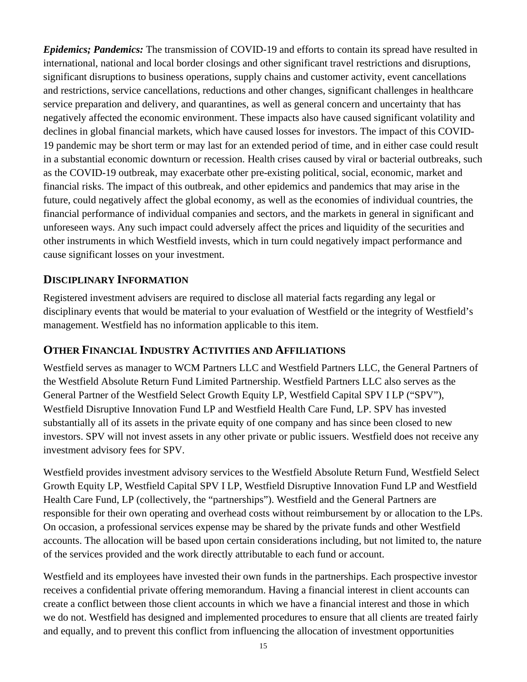*Epidemics; Pandemics:* The transmission of COVID-19 and efforts to contain its spread have resulted in international, national and local border closings and other significant travel restrictions and disruptions, significant disruptions to business operations, supply chains and customer activity, event cancellations and restrictions, service cancellations, reductions and other changes, significant challenges in healthcare service preparation and delivery, and quarantines, as well as general concern and uncertainty that has negatively affected the economic environment. These impacts also have caused significant volatility and declines in global financial markets, which have caused losses for investors. The impact of this COVID-19 pandemic may be short term or may last for an extended period of time, and in either case could result in a substantial economic downturn or recession. Health crises caused by viral or bacterial outbreaks, such as the COVID-19 outbreak, may exacerbate other pre-existing political, social, economic, market and financial risks. The impact of this outbreak, and other epidemics and pandemics that may arise in the future, could negatively affect the global economy, as well as the economies of individual countries, the financial performance of individual companies and sectors, and the markets in general in significant and unforeseen ways. Any such impact could adversely affect the prices and liquidity of the securities and other instruments in which Westfield invests, which in turn could negatively impact performance and cause significant losses on your investment.

## **DISCIPLINARY INFORMATION**

Registered investment advisers are required to disclose all material facts regarding any legal or disciplinary events that would be material to your evaluation of Westfield or the integrity of Westfield's management. Westfield has no information applicable to this item.

## **OTHER FINANCIAL INDUSTRY ACTIVITIES AND AFFILIATIONS**

Westfield serves as manager to WCM Partners LLC and Westfield Partners LLC, the General Partners of the Westfield Absolute Return Fund Limited Partnership. Westfield Partners LLC also serves as the General Partner of the Westfield Select Growth Equity LP, Westfield Capital SPV I LP ("SPV"), Westfield Disruptive Innovation Fund LP and Westfield Health Care Fund, LP. SPV has invested substantially all of its assets in the private equity of one company and has since been closed to new investors. SPV will not invest assets in any other private or public issuers. Westfield does not receive any investment advisory fees for SPV.

Westfield provides investment advisory services to the Westfield Absolute Return Fund, Westfield Select Growth Equity LP, Westfield Capital SPV I LP, Westfield Disruptive Innovation Fund LP and Westfield Health Care Fund, LP (collectively, the "partnerships"). Westfield and the General Partners are responsible for their own operating and overhead costs without reimbursement by or allocation to the LPs. On occasion, a professional services expense may be shared by the private funds and other Westfield accounts. The allocation will be based upon certain considerations including, but not limited to, the nature of the services provided and the work directly attributable to each fund or account.

Westfield and its employees have invested their own funds in the partnerships. Each prospective investor receives a confidential private offering memorandum. Having a financial interest in client accounts can create a conflict between those client accounts in which we have a financial interest and those in which we do not. Westfield has designed and implemented procedures to ensure that all clients are treated fairly and equally, and to prevent this conflict from influencing the allocation of investment opportunities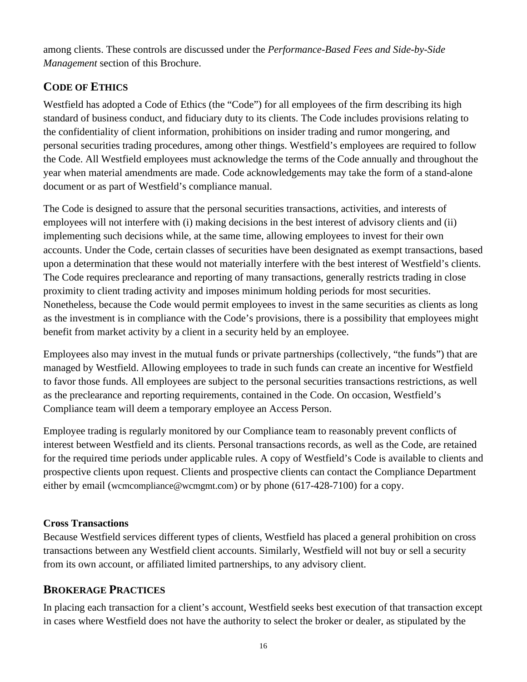among clients. These controls are discussed under the *Performance-Based Fees and Side-by-Side Management* section of this Brochure.

# **CODE OF ETHICS**

Westfield has adopted a Code of Ethics (the "Code") for all employees of the firm describing its high standard of business conduct, and fiduciary duty to its clients. The Code includes provisions relating to the confidentiality of client information, prohibitions on insider trading and rumor mongering, and personal securities trading procedures, among other things. Westfield's employees are required to follow the Code. All Westfield employees must acknowledge the terms of the Code annually and throughout the year when material amendments are made. Code acknowledgements may take the form of a stand-alone document or as part of Westfield's compliance manual.

The Code is designed to assure that the personal securities transactions, activities, and interests of employees will not interfere with (i) making decisions in the best interest of advisory clients and (ii) implementing such decisions while, at the same time, allowing employees to invest for their own accounts. Under the Code, certain classes of securities have been designated as exempt transactions, based upon a determination that these would not materially interfere with the best interest of Westfield's clients. The Code requires preclearance and reporting of many transactions, generally restricts trading in close proximity to client trading activity and imposes minimum holding periods for most securities. Nonetheless, because the Code would permit employees to invest in the same securities as clients as long as the investment is in compliance with the Code's provisions, there is a possibility that employees might benefit from market activity by a client in a security held by an employee.

Employees also may invest in the mutual funds or private partnerships (collectively, "the funds") that are managed by Westfield. Allowing employees to trade in such funds can create an incentive for Westfield to favor those funds. All employees are subject to the personal securities transactions restrictions, as well as the preclearance and reporting requirements, contained in the Code. On occasion, Westfield's Compliance team will deem a temporary employee an Access Person.

Employee trading is regularly monitored by our Compliance team to reasonably prevent conflicts of interest between Westfield and its clients. Personal transactions records, as well as the Code, are retained for the required time periods under applicable rules. A copy of Westfield's Code is available to clients and prospective clients upon request. Clients and prospective clients can contact the Compliance Department either by email (wcmcompliance@wcmgmt.com) or by phone (617-428-7100) for a copy.

## **Cross Transactions**

Because Westfield services different types of clients, Westfield has placed a general prohibition on cross transactions between any Westfield client accounts. Similarly, Westfield will not buy or sell a security from its own account, or affiliated limited partnerships, to any advisory client.

# **BROKERAGE PRACTICES**

In placing each transaction for a client's account, Westfield seeks best execution of that transaction except in cases where Westfield does not have the authority to select the broker or dealer, as stipulated by the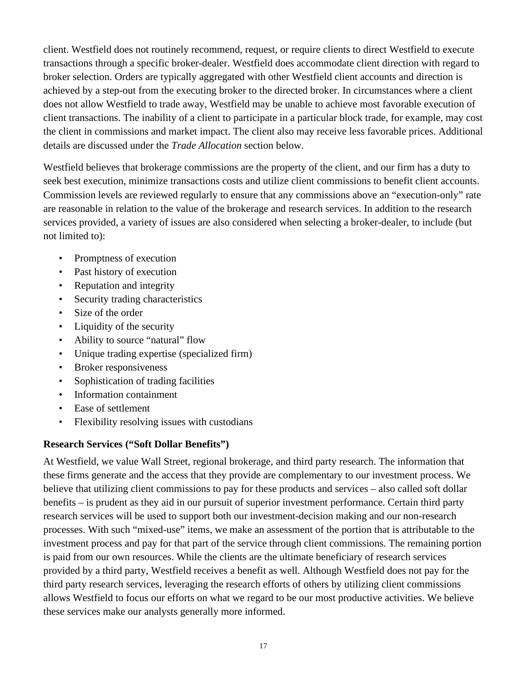client. Westfield does not routinely recommend, request, or require clients to direct Westfield to execute transactions through a specific broker-dealer. Westfield does accommodate client direction with regard to broker selection. Orders are typically aggregated with other Westfield client accounts and direction is achieved by a step-out from the executing broker to the directed broker. In circumstances where a client does not allow Westfield to trade away, Westfield may be unable to achieve most favorable execution of client transactions. The inability of a client to participate in a particular block trade, for example, may cost the client in commissions and market impact. The client also may receive less favorable prices. Additional details are discussed under the *Trade Allocation* section below.

Westfield believes that brokerage commissions are the property of the client, and our firm has a duty to seek best execution, minimize transactions costs and utilize client commissions to benefit client accounts. Commission levels are reviewed regularly to ensure that any commissions above an "execution-only" rate are reasonable in relation to the value of the brokerage and research services. In addition to the research services provided, a variety of issues are also considered when selecting a broker-dealer, to include (but not limited to):

- Promptness of execution
- Past history of execution
- Reputation and integrity
- Security trading characteristics
- Size of the order
- Liquidity of the security
- Ability to source "natural" flow
- Unique trading expertise (specialized firm)
- Broker responsiveness
- Sophistication of trading facilities
- Information containment
- Ease of settlement
- Flexibility resolving issues with custodians

#### **Research Services ("Soft Dollar Benefits")**

At Westfield, we value Wall Street, regional brokerage, and third party research. The information that these firms generate and the access that they provide are complementary to our investment process. We believe that utilizing client commissions to pay for these products and services – also called soft dollar benefits – is prudent as they aid in our pursuit of superior investment performance. Certain third party research services will be used to support both our investment-decision making and our non-research processes. With such "mixed-use" items, we make an assessment of the portion that is attributable to the investment process and pay for that part of the service through client commissions. The remaining portion is paid from our own resources. While the clients are the ultimate beneficiary of research services provided by a third party, Westfield receives a benefit as well. Although Westfield does not pay for the third party research services, leveraging the research efforts of others by utilizing client commissions allows Westfield to focus our efforts on what we regard to be our most productive activities. We believe these services make our analysts generally more informed.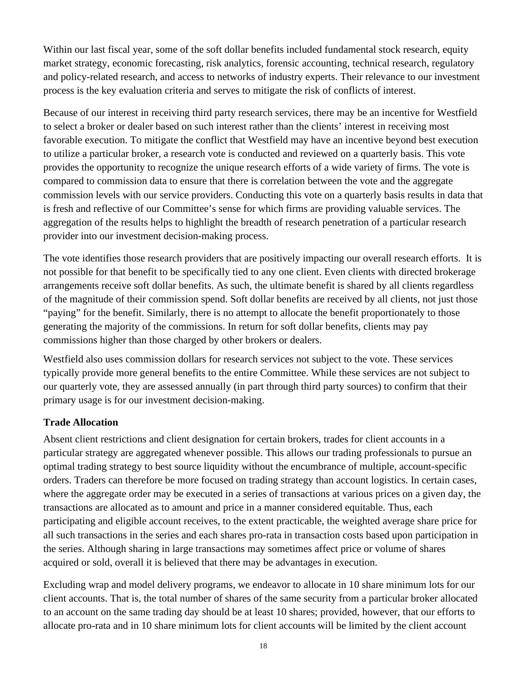Within our last fiscal year, some of the soft dollar benefits included fundamental stock research, equity market strategy, economic forecasting, risk analytics, forensic accounting, technical research, regulatory and policy-related research, and access to networks of industry experts. Their relevance to our investment process is the key evaluation criteria and serves to mitigate the risk of conflicts of interest.

Because of our interest in receiving third party research services, there may be an incentive for Westfield to select a broker or dealer based on such interest rather than the clients' interest in receiving most favorable execution. To mitigate the conflict that Westfield may have an incentive beyond best execution to utilize a particular broker, a research vote is conducted and reviewed on a quarterly basis. This vote provides the opportunity to recognize the unique research efforts of a wide variety of firms. The vote is compared to commission data to ensure that there is correlation between the vote and the aggregate commission levels with our service providers. Conducting this vote on a quarterly basis results in data that is fresh and reflective of our Committee's sense for which firms are providing valuable services. The aggregation of the results helps to highlight the breadth of research penetration of a particular research provider into our investment decision-making process.

The vote identifies those research providers that are positively impacting our overall research efforts. It is not possible for that benefit to be specifically tied to any one client. Even clients with directed brokerage arrangements receive soft dollar benefits. As such, the ultimate benefit is shared by all clients regardless of the magnitude of their commission spend. Soft dollar benefits are received by all clients, not just those "paying" for the benefit. Similarly, there is no attempt to allocate the benefit proportionately to those generating the majority of the commissions. In return for soft dollar benefits, clients may pay commissions higher than those charged by other brokers or dealers.

Westfield also uses commission dollars for research services not subject to the vote. These services typically provide more general benefits to the entire Committee. While these services are not subject to our quarterly vote, they are assessed annually (in part through third party sources) to confirm that their primary usage is for our investment decision-making.

#### **Trade Allocation**

Absent client restrictions and client designation for certain brokers, trades for client accounts in a particular strategy are aggregated whenever possible. This allows our trading professionals to pursue an optimal trading strategy to best source liquidity without the encumbrance of multiple, account-specific orders. Traders can therefore be more focused on trading strategy than account logistics. In certain cases, where the aggregate order may be executed in a series of transactions at various prices on a given day, the transactions are allocated as to amount and price in a manner considered equitable. Thus, each participating and eligible account receives, to the extent practicable, the weighted average share price for all such transactions in the series and each shares pro-rata in transaction costs based upon participation in the series. Although sharing in large transactions may sometimes affect price or volume of shares acquired or sold, overall it is believed that there may be advantages in execution.

Excluding wrap and model delivery programs, we endeavor to allocate in 10 share minimum lots for our client accounts. That is, the total number of shares of the same security from a particular broker allocated to an account on the same trading day should be at least 10 shares; provided, however, that our efforts to allocate pro-rata and in 10 share minimum lots for client accounts will be limited by the client account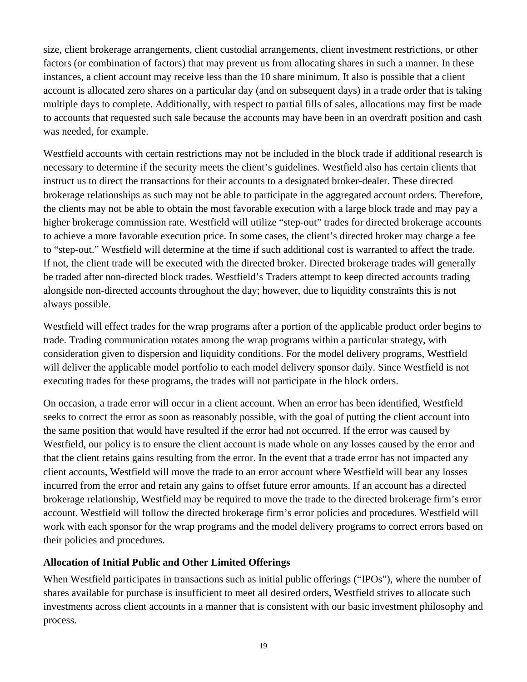size, client brokerage arrangements, client custodial arrangements, client investment restrictions, or other factors (or combination of factors) that may prevent us from allocating shares in such a manner. In these instances, a client account may receive less than the 10 share minimum. It also is possible that a client account is allocated zero shares on a particular day (and on subsequent days) in a trade order that is taking multiple days to complete. Additionally, with respect to partial fills of sales, allocations may first be made to accounts that requested such sale because the accounts may have been in an overdraft position and cash was needed, for example.

Westfield accounts with certain restrictions may not be included in the block trade if additional research is necessary to determine if the security meets the client's guidelines. Westfield also has certain clients that instruct us to direct the transactions for their accounts to a designated broker-dealer. These directed brokerage relationships as such may not be able to participate in the aggregated account orders. Therefore, the clients may not be able to obtain the most favorable execution with a large block trade and may pay a higher brokerage commission rate. Westfield will utilize "step-out" trades for directed brokerage accounts to achieve a more favorable execution price. In some cases, the client's directed broker may charge a fee to "step-out." Westfield will determine at the time if such additional cost is warranted to affect the trade. If not, the client trade will be executed with the directed broker. Directed brokerage trades will generally be traded after non-directed block trades. Westfield's Traders attempt to keep directed accounts trading alongside non-directed accounts throughout the day; however, due to liquidity constraints this is not always possible.

Westfield will effect trades for the wrap programs after a portion of the applicable product order begins to trade. Trading communication rotates among the wrap programs within a particular strategy, with consideration given to dispersion and liquidity conditions. For the model delivery programs, Westfield will deliver the applicable model portfolio to each model delivery sponsor daily. Since Westfield is not executing trades for these programs, the trades will not participate in the block orders.

On occasion, a trade error will occur in a client account. When an error has been identified, Westfield seeks to correct the error as soon as reasonably possible, with the goal of putting the client account into the same position that would have resulted if the error had not occurred. If the error was caused by Westfield, our policy is to ensure the client account is made whole on any losses caused by the error and that the client retains gains resulting from the error. In the event that a trade error has not impacted any client accounts, Westfield will move the trade to an error account where Westfield will bear any losses incurred from the error and retain any gains to offset future error amounts. If an account has a directed brokerage relationship, Westfield may be required to move the trade to the directed brokerage firm's error account. Westfield will follow the directed brokerage firm's error policies and procedures. Westfield will work with each sponsor for the wrap programs and the model delivery programs to correct errors based on their policies and procedures.

#### **Allocation of Initial Public and Other Limited Offerings**

When Westfield participates in transactions such as initial public offerings ("IPOs"), where the number of shares available for purchase is insufficient to meet all desired orders, Westfield strives to allocate such investments across client accounts in a manner that is consistent with our basic investment philosophy and process.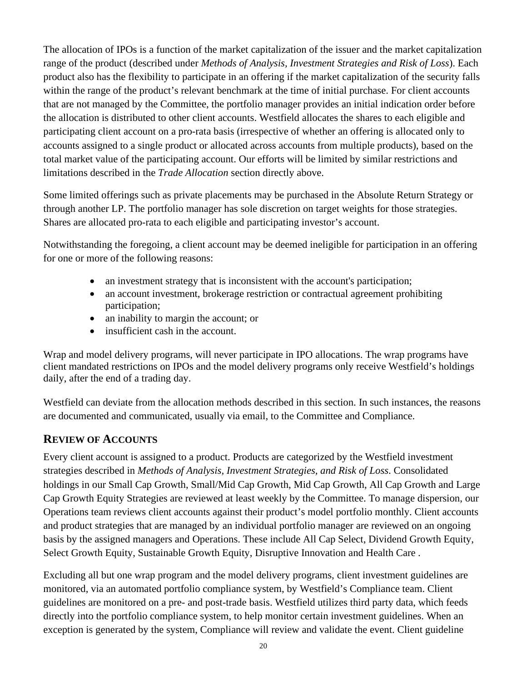The allocation of IPOs is a function of the market capitalization of the issuer and the market capitalization range of the product (described under *Methods of Analysis, Investment Strategies and Risk of Loss*). Each product also has the flexibility to participate in an offering if the market capitalization of the security falls within the range of the product's relevant benchmark at the time of initial purchase. For client accounts that are not managed by the Committee, the portfolio manager provides an initial indication order before the allocation is distributed to other client accounts. Westfield allocates the shares to each eligible and participating client account on a pro-rata basis (irrespective of whether an offering is allocated only to accounts assigned to a single product or allocated across accounts from multiple products), based on the total market value of the participating account. Our efforts will be limited by similar restrictions and limitations described in the *Trade Allocation* section directly above.

Some limited offerings such as private placements may be purchased in the Absolute Return Strategy or through another LP. The portfolio manager has sole discretion on target weights for those strategies. Shares are allocated pro-rata to each eligible and participating investor's account.

Notwithstanding the foregoing, a client account may be deemed ineligible for participation in an offering for one or more of the following reasons:

- an investment strategy that is inconsistent with the account's participation;
- an account investment, brokerage restriction or contractual agreement prohibiting participation;
- an inability to margin the account; or
- insufficient cash in the account.

Wrap and model delivery programs, will never participate in IPO allocations. The wrap programs have client mandated restrictions on IPOs and the model delivery programs only receive Westfield's holdings daily, after the end of a trading day.

Westfield can deviate from the allocation methods described in this section. In such instances, the reasons are documented and communicated, usually via email, to the Committee and Compliance.

## **REVIEW OF ACCOUNTS**

Every client account is assigned to a product. Products are categorized by the Westfield investment strategies described in *Methods of Analysis, Investment Strategies, and Risk of Loss*. Consolidated holdings in our Small Cap Growth, Small/Mid Cap Growth, Mid Cap Growth, All Cap Growth and Large Cap Growth Equity Strategies are reviewed at least weekly by the Committee. To manage dispersion, our Operations team reviews client accounts against their product's model portfolio monthly. Client accounts and product strategies that are managed by an individual portfolio manager are reviewed on an ongoing basis by the assigned managers and Operations. These include All Cap Select, Dividend Growth Equity, Select Growth Equity, Sustainable Growth Equity, Disruptive Innovation and Health Care .

Excluding all but one wrap program and the model delivery programs, client investment guidelines are monitored, via an automated portfolio compliance system, by Westfield's Compliance team. Client guidelines are monitored on a pre- and post-trade basis. Westfield utilizes third party data, which feeds directly into the portfolio compliance system, to help monitor certain investment guidelines. When an exception is generated by the system, Compliance will review and validate the event. Client guideline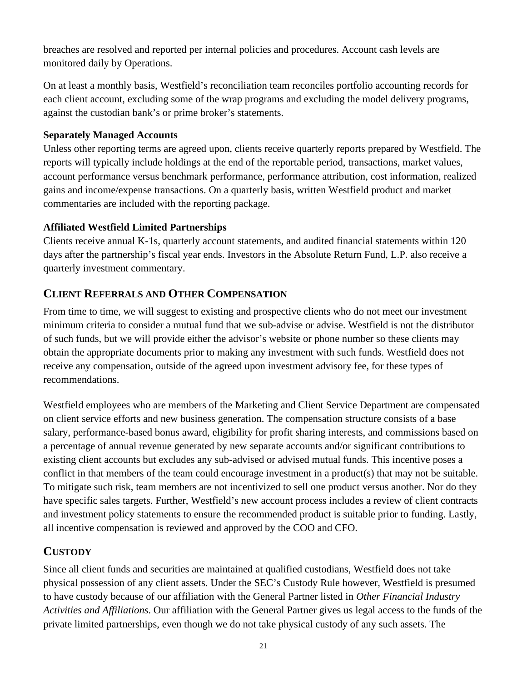breaches are resolved and reported per internal policies and procedures. Account cash levels are monitored daily by Operations.

On at least a monthly basis, Westfield's reconciliation team reconciles portfolio accounting records for each client account, excluding some of the wrap programs and excluding the model delivery programs, against the custodian bank's or prime broker's statements.

#### **Separately Managed Accounts**

Unless other reporting terms are agreed upon, clients receive quarterly reports prepared by Westfield. The reports will typically include holdings at the end of the reportable period, transactions, market values, account performance versus benchmark performance, performance attribution, cost information, realized gains and income/expense transactions. On a quarterly basis, written Westfield product and market commentaries are included with the reporting package.

## **Affiliated Westfield Limited Partnerships**

Clients receive annual K-1s, quarterly account statements, and audited financial statements within 120 days after the partnership's fiscal year ends. Investors in the Absolute Return Fund, L.P. also receive a quarterly investment commentary.

## **CLIENT REFERRALS AND OTHER COMPENSATION**

From time to time, we will suggest to existing and prospective clients who do not meet our investment minimum criteria to consider a mutual fund that we sub-advise or advise. Westfield is not the distributor of such funds, but we will provide either the advisor's website or phone number so these clients may obtain the appropriate documents prior to making any investment with such funds. Westfield does not receive any compensation, outside of the agreed upon investment advisory fee, for these types of recommendations.

Westfield employees who are members of the Marketing and Client Service Department are compensated on client service efforts and new business generation. The compensation structure consists of a base salary, performance-based bonus award, eligibility for profit sharing interests, and commissions based on a percentage of annual revenue generated by new separate accounts and/or significant contributions to existing client accounts but excludes any sub-advised or advised mutual funds. This incentive poses a conflict in that members of the team could encourage investment in a product(s) that may not be suitable. To mitigate such risk, team members are not incentivized to sell one product versus another. Nor do they have specific sales targets. Further, Westfield's new account process includes a review of client contracts and investment policy statements to ensure the recommended product is suitable prior to funding. Lastly, all incentive compensation is reviewed and approved by the COO and CFO.

# **CUSTODY**

Since all client funds and securities are maintained at qualified custodians, Westfield does not take physical possession of any client assets. Under the SEC's Custody Rule however, Westfield is presumed to have custody because of our affiliation with the General Partner listed in *Other Financial Industry Activities and Affiliations*. Our affiliation with the General Partner gives us legal access to the funds of the private limited partnerships, even though we do not take physical custody of any such assets. The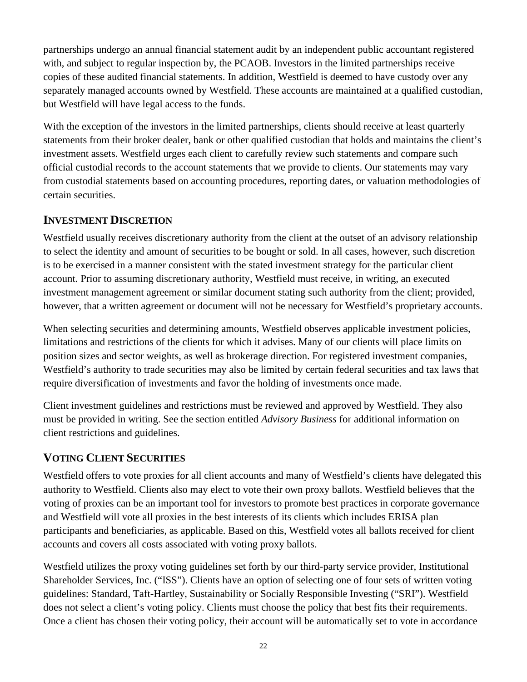partnerships undergo an annual financial statement audit by an independent public accountant registered with, and subject to regular inspection by, the PCAOB. Investors in the limited partnerships receive copies of these audited financial statements. In addition, Westfield is deemed to have custody over any separately managed accounts owned by Westfield. These accounts are maintained at a qualified custodian, but Westfield will have legal access to the funds.

With the exception of the investors in the limited partnerships, clients should receive at least quarterly statements from their broker dealer, bank or other qualified custodian that holds and maintains the client's investment assets. Westfield urges each client to carefully review such statements and compare such official custodial records to the account statements that we provide to clients. Our statements may vary from custodial statements based on accounting procedures, reporting dates, or valuation methodologies of certain securities.

## **INVESTMENT DISCRETION**

Westfield usually receives discretionary authority from the client at the outset of an advisory relationship to select the identity and amount of securities to be bought or sold. In all cases, however, such discretion is to be exercised in a manner consistent with the stated investment strategy for the particular client account. Prior to assuming discretionary authority, Westfield must receive, in writing, an executed investment management agreement or similar document stating such authority from the client; provided, however, that a written agreement or document will not be necessary for Westfield's proprietary accounts.

When selecting securities and determining amounts, Westfield observes applicable investment policies, limitations and restrictions of the clients for which it advises. Many of our clients will place limits on position sizes and sector weights, as well as brokerage direction. For registered investment companies, Westfield's authority to trade securities may also be limited by certain federal securities and tax laws that require diversification of investments and favor the holding of investments once made.

Client investment guidelines and restrictions must be reviewed and approved by Westfield. They also must be provided in writing. See the section entitled *Advisory Business* for additional information on client restrictions and guidelines.

## **VOTING CLIENT SECURITIES**

Westfield offers to vote proxies for all client accounts and many of Westfield's clients have delegated this authority to Westfield. Clients also may elect to vote their own proxy ballots. Westfield believes that the voting of proxies can be an important tool for investors to promote best practices in corporate governance and Westfield will vote all proxies in the best interests of its clients which includes ERISA plan participants and beneficiaries, as applicable. Based on this, Westfield votes all ballots received for client accounts and covers all costs associated with voting proxy ballots.

Westfield utilizes the proxy voting guidelines set forth by our third-party service provider, Institutional Shareholder Services, Inc. ("ISS"). Clients have an option of selecting one of four sets of written voting guidelines: Standard, Taft-Hartley, Sustainability or Socially Responsible Investing ("SRI"). Westfield does not select a client's voting policy. Clients must choose the policy that best fits their requirements. Once a client has chosen their voting policy, their account will be automatically set to vote in accordance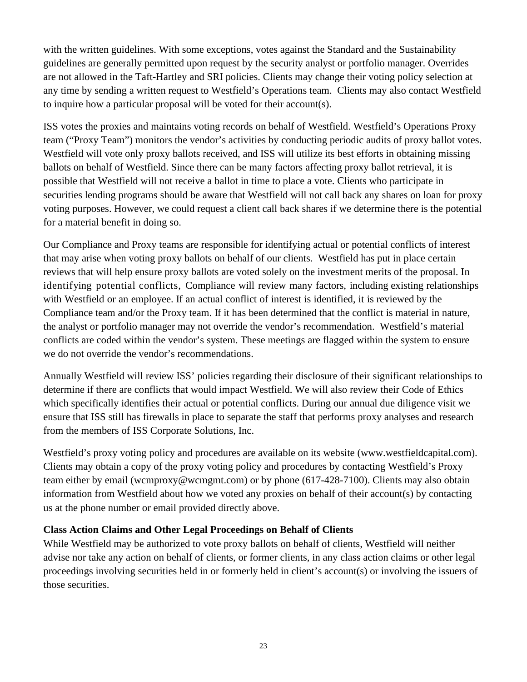with the written guidelines. With some exceptions, votes against the Standard and the Sustainability guidelines are generally permitted upon request by the security analyst or portfolio manager. Overrides are not allowed in the Taft-Hartley and SRI policies. Clients may change their voting policy selection at any time by sending a written request to Westfield's Operations team. Clients may also contact Westfield to inquire how a particular proposal will be voted for their account(s).

ISS votes the proxies and maintains voting records on behalf of Westfield. Westfield's Operations Proxy team ("Proxy Team") monitors the vendor's activities by conducting periodic audits of proxy ballot votes. Westfield will vote only proxy ballots received, and ISS will utilize its best efforts in obtaining missing ballots on behalf of Westfield. Since there can be many factors affecting proxy ballot retrieval, it is possible that Westfield will not receive a ballot in time to place a vote. Clients who participate in securities lending programs should be aware that Westfield will not call back any shares on loan for proxy voting purposes. However, we could request a client call back shares if we determine there is the potential for a material benefit in doing so.

Our Compliance and Proxy teams are responsible for identifying actual or potential conflicts of interest that may arise when voting proxy ballots on behalf of our clients. Westfield has put in place certain reviews that will help ensure proxy ballots are voted solely on the investment merits of the proposal. In identifying potential conflicts, Compliance will review many factors, including existing relationships with Westfield or an employee. If an actual conflict of interest is identified, it is reviewed by the Compliance team and/or the Proxy team. If it has been determined that the conflict is material in nature, the analyst or portfolio manager may not override the vendor's recommendation. Westfield's material conflicts are coded within the vendor's system. These meetings are flagged within the system to ensure we do not override the vendor's recommendations.

Annually Westfield will review ISS' policies regarding their disclosure of their significant relationships to determine if there are conflicts that would impact Westfield. We will also review their Code of Ethics which specifically identifies their actual or potential conflicts. During our annual due diligence visit we ensure that ISS still has firewalls in place to separate the staff that performs proxy analyses and research from the members of ISS Corporate Solutions, Inc.

Westfield's proxy voting policy and procedures are available on its website (www.westfieldcapital.com). Clients may obtain a copy of the proxy voting policy and procedures by contacting Westfield's Proxy team either by email (wcmproxy@wcmgmt.com) or by phone (617-428-7100). Clients may also obtain information from Westfield about how we voted any proxies on behalf of their account(s) by contacting us at the phone number or email provided directly above.

## **Class Action Claims and Other Legal Proceedings on Behalf of Clients**

While Westfield may be authorized to vote proxy ballots on behalf of clients, Westfield will neither advise nor take any action on behalf of clients, or former clients, in any class action claims or other legal proceedings involving securities held in or formerly held in client's account(s) or involving the issuers of those securities.